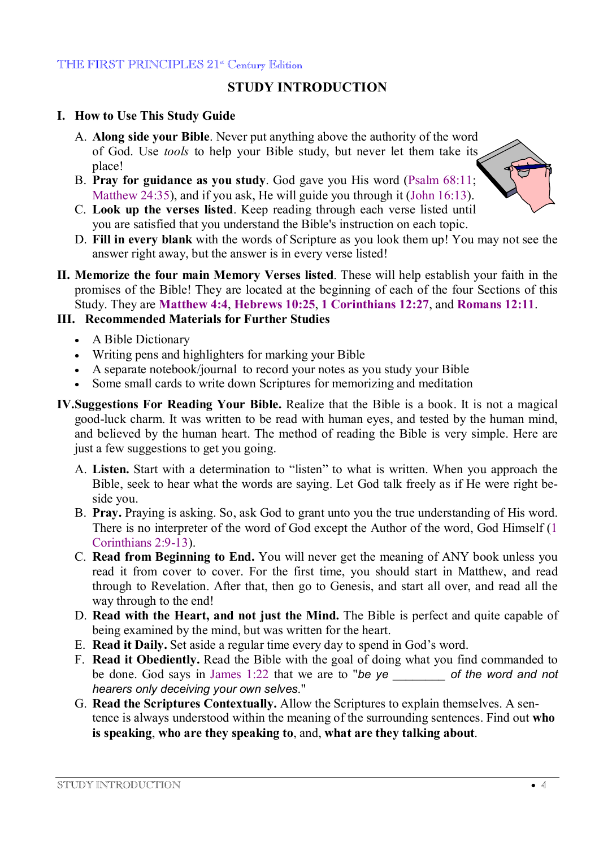#### THE FIRST PRINCIPLES 21<sup>st</sup> Century Edition

# **STUDY INTRODUCTION**

## **I. How to Use This Study Guide**

- A. **Along side your Bible**. Never put anything above the authority of the word of God. Use *tools* to help your Bible study, but never let them take its place!
- B. **Pray for guidance as you study**. God gave you His word (Psalm 68:11; Matthew 24:35), and if you ask, He will guide you through it (John 16:13).
- C. **Look up the verses listed**. Keep reading through each verse listed until you are satisfied that you understand the Bible's instruction on each topic.
- D. **Fill in every blank** with the words of Scripture as you look them up! You may not see the answer right away, but the answer is in every verse listed!
- **II. Memorize the four main Memory Verses listed**. These will help establish your faith in the promises of the Bible! They are located at the beginning of each of the four Sections of this Study. They are **Matthew 4:4**, **Hebrews 10:25**, **1 Corinthians 12:27**, and **Romans 12:11**.

## **III. Recommended Materials for Further Studies**

- · A Bible Dictionary
- · Writing pens and highlighters for marking your Bible
- · A separate notebook/journal to record your notes as you study your Bible
- · Some small cards to write down Scriptures for memorizing and meditation
- **IV.Suggestions For Reading Your Bible.** Realize that the Bible is a book. It is not a magical good-luck charm. It was written to be read with human eyes, and tested by the human mind, and believed by the human heart. The method of reading the Bible is very simple. Here are just a few suggestions to get you going.
	- A. **Listen.** Start with a determination to "listen" to what is written. When you approach the Bible, seek to hear what the words are saying. Let God talk freely as if He were right beside you.
	- B. **Pray.** Praying is asking. So, ask God to grant unto you the true understanding of His word. There is no interpreter of the word of God except the Author of the word, God Himself (1 Corinthians 2:9-13).
	- C. **Read from Beginning to End.** You will never get the meaning of ANY book unless you read it from cover to cover. For the first time, you should start in Matthew, and read through to Revelation. After that, then go to Genesis, and start all over, and read all the way through to the end!
	- D. **Read with the Heart, and not just the Mind.** The Bible is perfect and quite capable of being examined by the mind, but was written for the heart.
	- E. **Read it Daily.** Set aside a regular time every day to spend in God's word.
	- F. **Read it Obediently.** Read the Bible with the goal of doing what you find commanded to be done. God says in James 1:22 that we are to "*be ye \_\_\_\_\_\_\_\_ of the word and not hearers only deceiving your own selves*."
	- G. **Read the Scriptures Contextually.** Allow the Scriptures to explain themselves. A sentence is always understood within the meaning of the surrounding sentences. Find out **who is speaking**, **who are they speaking to**, and, **what are they talking about**.